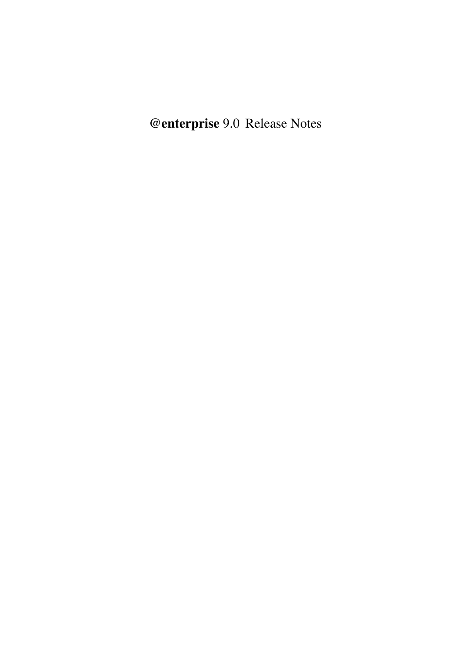@enterprise 9.0 Release Notes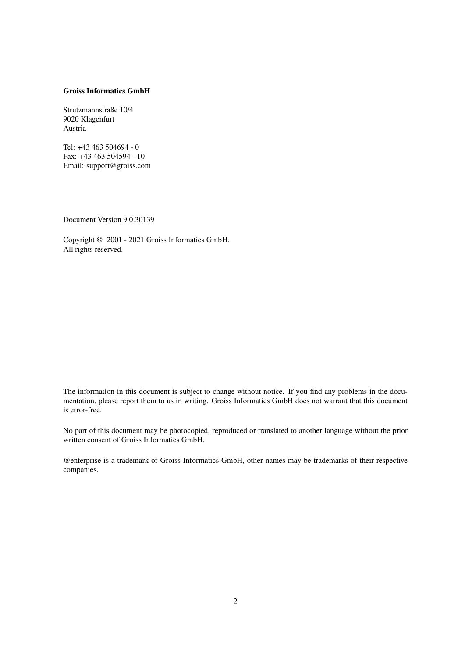#### Groiss Informatics GmbH

Strutzmannstraße 10/4 9020 Klagenfurt Austria

Tel: +43 463 504694 - 0 Fax: +43 463 504594 - 10 Email: support@groiss.com

Document Version 9.0.30139

Copyright © 2001 - 2021 Groiss Informatics GmbH. All rights reserved.

The information in this document is subject to change without notice. If you find any problems in the documentation, please report them to us in writing. Groiss Informatics GmbH does not warrant that this document is error-free.

No part of this document may be photocopied, reproduced or translated to another language without the prior written consent of Groiss Informatics GmbH.

@enterprise is a trademark of Groiss Informatics GmbH, other names may be trademarks of their respective companies.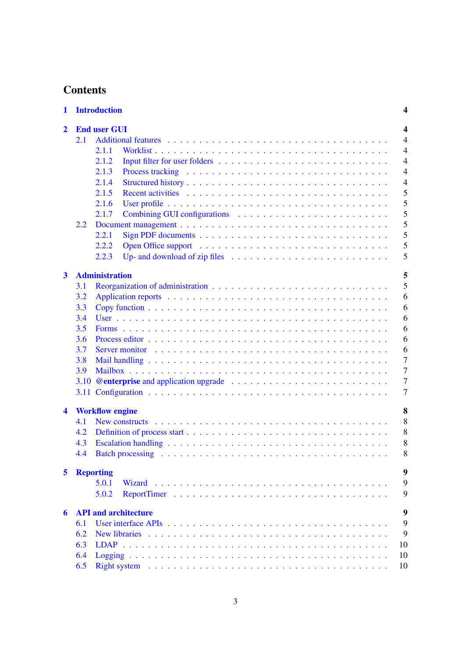# **Contents**

| 1            |                          | <b>Introduction</b>                                                                                         |  |  |  |  |  |
|--------------|--------------------------|-------------------------------------------------------------------------------------------------------------|--|--|--|--|--|
| $\mathbf{2}$ | <b>End user GUI</b><br>4 |                                                                                                             |  |  |  |  |  |
|              | 2.1                      |                                                                                                             |  |  |  |  |  |
|              |                          | 2.1.1                                                                                                       |  |  |  |  |  |
|              |                          | 2.1.2                                                                                                       |  |  |  |  |  |
|              |                          | 2.1.3                                                                                                       |  |  |  |  |  |
|              |                          | 2.1.4                                                                                                       |  |  |  |  |  |
|              |                          | 2.1.5                                                                                                       |  |  |  |  |  |
|              |                          | 2.1.6                                                                                                       |  |  |  |  |  |
|              |                          | 2.1.7                                                                                                       |  |  |  |  |  |
|              | 2.2                      |                                                                                                             |  |  |  |  |  |
|              |                          | 2.2.1                                                                                                       |  |  |  |  |  |
|              |                          | 2.2.2                                                                                                       |  |  |  |  |  |
|              |                          | 2.2.3                                                                                                       |  |  |  |  |  |
| $\mathbf{3}$ |                          | <b>Administration</b>                                                                                       |  |  |  |  |  |
|              | 3.1                      |                                                                                                             |  |  |  |  |  |
|              | 3.2                      |                                                                                                             |  |  |  |  |  |
|              | 3.3                      |                                                                                                             |  |  |  |  |  |
|              | 3.4                      |                                                                                                             |  |  |  |  |  |
|              | 3.5                      |                                                                                                             |  |  |  |  |  |
|              | 3.6                      |                                                                                                             |  |  |  |  |  |
|              | 3.7                      |                                                                                                             |  |  |  |  |  |
|              | 3.8                      |                                                                                                             |  |  |  |  |  |
|              | 3.9                      |                                                                                                             |  |  |  |  |  |
|              | 3.10                     |                                                                                                             |  |  |  |  |  |
|              |                          |                                                                                                             |  |  |  |  |  |
|              |                          |                                                                                                             |  |  |  |  |  |
| 4            |                          | <b>Workflow engine</b>                                                                                      |  |  |  |  |  |
|              | 4.1                      | New constructs $\ldots \ldots \ldots \ldots \ldots \ldots \ldots \ldots \ldots \ldots \ldots \ldots \ldots$ |  |  |  |  |  |
|              | 4.2                      |                                                                                                             |  |  |  |  |  |
|              | 4.3                      |                                                                                                             |  |  |  |  |  |
|              | 4.4                      |                                                                                                             |  |  |  |  |  |
| 5            |                          | <b>Reporting</b>                                                                                            |  |  |  |  |  |
|              |                          | 5.0.1<br>Wizard                                                                                             |  |  |  |  |  |
|              |                          | 5.0.2                                                                                                       |  |  |  |  |  |
|              |                          |                                                                                                             |  |  |  |  |  |
| 6            |                          | <b>API and architecture</b>                                                                                 |  |  |  |  |  |
|              | 6.1                      |                                                                                                             |  |  |  |  |  |
|              | 6.2                      |                                                                                                             |  |  |  |  |  |
|              | 6.3                      | 10                                                                                                          |  |  |  |  |  |
|              | 6.4                      | 10                                                                                                          |  |  |  |  |  |
|              | 6.5                      | 10                                                                                                          |  |  |  |  |  |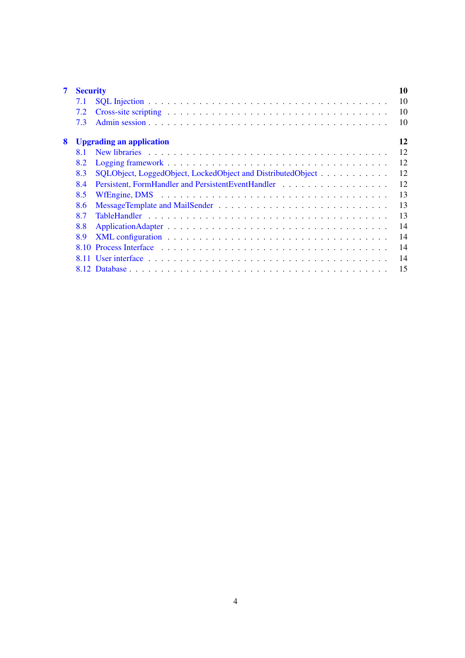| 7 | 10<br><b>Security</b>                 |                                                                                                                                                                                                                                |    |  |  |  |  |  |
|---|---------------------------------------|--------------------------------------------------------------------------------------------------------------------------------------------------------------------------------------------------------------------------------|----|--|--|--|--|--|
|   | 7.1                                   |                                                                                                                                                                                                                                | 10 |  |  |  |  |  |
|   | 7.2                                   |                                                                                                                                                                                                                                | 10 |  |  |  |  |  |
|   | 7.3                                   |                                                                                                                                                                                                                                | 10 |  |  |  |  |  |
| 8 | 12<br><b>Upgrading an application</b> |                                                                                                                                                                                                                                |    |  |  |  |  |  |
|   | <b>81</b>                             | New libraries enterprise to the server of the server of the server of the server of the server of the server of the server of the server of the server of the server of the server of the server of the server of the server o | 12 |  |  |  |  |  |
|   | 8.2                                   |                                                                                                                                                                                                                                | 12 |  |  |  |  |  |
|   | 8.3                                   | SQLObject, LoggedObject, LockedObject and DistributedObject                                                                                                                                                                    | 12 |  |  |  |  |  |
|   | 8.4                                   |                                                                                                                                                                                                                                | 12 |  |  |  |  |  |
|   | 8.5                                   |                                                                                                                                                                                                                                | 13 |  |  |  |  |  |
|   | 8.6                                   |                                                                                                                                                                                                                                | 13 |  |  |  |  |  |
|   | 8.7                                   |                                                                                                                                                                                                                                | 13 |  |  |  |  |  |
|   | 8.8                                   |                                                                                                                                                                                                                                | 14 |  |  |  |  |  |
|   | 8.9                                   |                                                                                                                                                                                                                                | 14 |  |  |  |  |  |
|   | 8.10                                  |                                                                                                                                                                                                                                | 14 |  |  |  |  |  |
|   |                                       |                                                                                                                                                                                                                                | 14 |  |  |  |  |  |
|   |                                       |                                                                                                                                                                                                                                | 15 |  |  |  |  |  |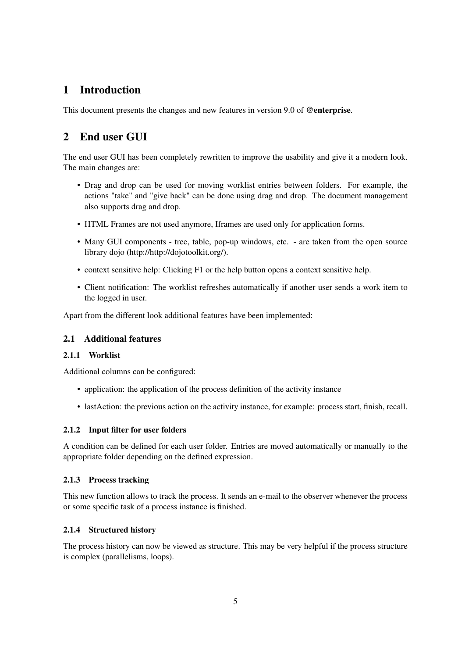# <span id="page-4-0"></span>1 Introduction

This document presents the changes and new features in version 9.0 of @enterprise.

# <span id="page-4-1"></span>2 End user GUI

The end user GUI has been completely rewritten to improve the usability and give it a modern look. The main changes are:

- Drag and drop can be used for moving worklist entries between folders. For example, the actions "take" and "give back" can be done using drag and drop. The document management also supports drag and drop.
- HTML Frames are not used anymore, Iframes are used only for application forms.
- Many GUI components tree, table, pop-up windows, etc. are taken from the open source library dojo (http://http://dojotoolkit.org/).
- context sensitive help: Clicking F1 or the help button opens a context sensitive help.
- Client notification: The worklist refreshes automatically if another user sends a work item to the logged in user.

Apart from the different look additional features have been implemented:

## <span id="page-4-2"></span>2.1 Additional features

### <span id="page-4-3"></span>2.1.1 Worklist

Additional columns can be configured:

- application: the application of the process definition of the activity instance
- lastAction: the previous action on the activity instance, for example: process start, finish, recall.

#### <span id="page-4-4"></span>2.1.2 Input filter for user folders

A condition can be defined for each user folder. Entries are moved automatically or manually to the appropriate folder depending on the defined expression.

#### <span id="page-4-5"></span>2.1.3 Process tracking

This new function allows to track the process. It sends an e-mail to the observer whenever the process or some specific task of a process instance is finished.

#### <span id="page-4-6"></span>2.1.4 Structured history

The process history can now be viewed as structure. This may be very helpful if the process structure is complex (parallelisms, loops).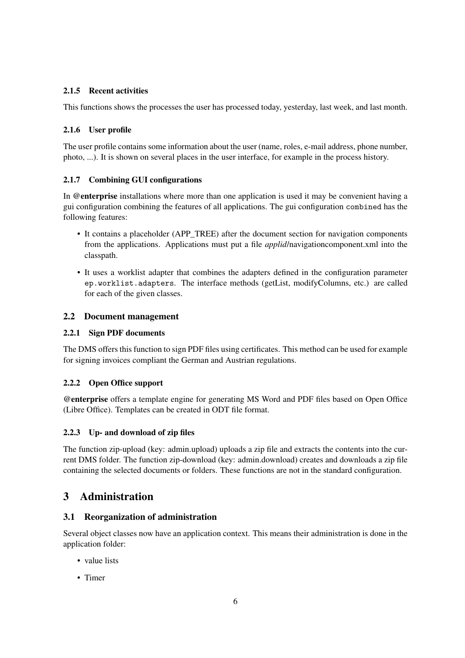## <span id="page-5-0"></span>2.1.5 Recent activities

This functions shows the processes the user has processed today, yesterday, last week, and last month.

## <span id="page-5-1"></span>2.1.6 User profile

The user profile contains some information about the user (name, roles, e-mail address, phone number, photo, ...). It is shown on several places in the user interface, for example in the process history.

## <span id="page-5-2"></span>2.1.7 Combining GUI configurations

In @enterprise installations where more than one application is used it may be convenient having a gui configuration combining the features of all applications. The gui configuration combined has the following features:

- It contains a placeholder (APP\_TREE) after the document section for navigation components from the applications. Applications must put a file *applid*/navigationcomponent.xml into the classpath.
- It uses a worklist adapter that combines the adapters defined in the configuration parameter ep.worklist.adapters. The interface methods (getList, modifyColumns, etc.) are called for each of the given classes.

## <span id="page-5-3"></span>2.2 Document management

### <span id="page-5-4"></span>2.2.1 Sign PDF documents

The DMS offers this function to sign PDF files using certificates. This method can be used for example for signing invoices compliant the German and Austrian regulations.

#### <span id="page-5-5"></span>2.2.2 Open Office support

@enterprise offers a template engine for generating MS Word and PDF files based on Open Office (Libre Office). Templates can be created in ODT file format.

#### <span id="page-5-6"></span>2.2.3 Up- and download of zip files

The function zip-upload (key: admin.upload) uploads a zip file and extracts the contents into the current DMS folder. The function zip-download (key: admin.download) creates and downloads a zip file containing the selected documents or folders. These functions are not in the standard configuration.

## <span id="page-5-7"></span>3 Administration

## <span id="page-5-8"></span>3.1 Reorganization of administration

Several object classes now have an application context. This means their administration is done in the application folder:

- value lists
- Timer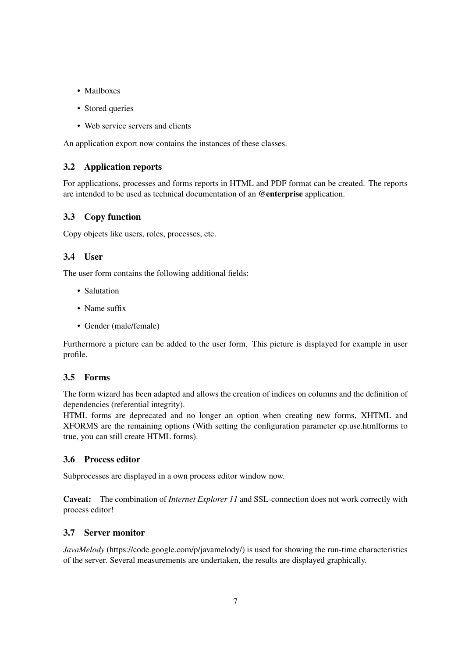- Mailboxes
- Stored queries
- Web service servers and clients

An application export now contains the instances of these classes.

### <span id="page-6-0"></span>3.2 Application reports

For applications, processes and forms reports in HTML and PDF format can be created. The reports are intended to be used as technical documentation of an @enterprise application.

## <span id="page-6-1"></span>3.3 Copy function

Copy objects like users, roles, processes, etc.

#### <span id="page-6-2"></span>3.4 User

The user form contains the following additional fields:

- Salutation
- Name suffix
- Gender (male/female)

Furthermore a picture can be added to the user form. This picture is displayed for example in user profile.

#### <span id="page-6-3"></span>3.5 Forms

The form wizard has been adapted and allows the creation of indices on columns and the definition of dependencies (referential integrity).

HTML forms are deprecated and no longer an option when creating new forms, XHTML and XFORMS are the remaining options (With setting the configuration parameter ep.use.htmlforms to true, you can still create HTML forms).

## <span id="page-6-4"></span>3.6 Process editor

Subprocesses are displayed in a own process editor window now.

Caveat: The combination of *Internet Explorer 11* and SSL-connection does not work correctly with process editor!

#### <span id="page-6-5"></span>3.7 Server monitor

*JavaMelody* (https://code.google.com/p/javamelody/) is used for showing the run-time characteristics of the server. Several measurements are undertaken, the results are displayed graphically.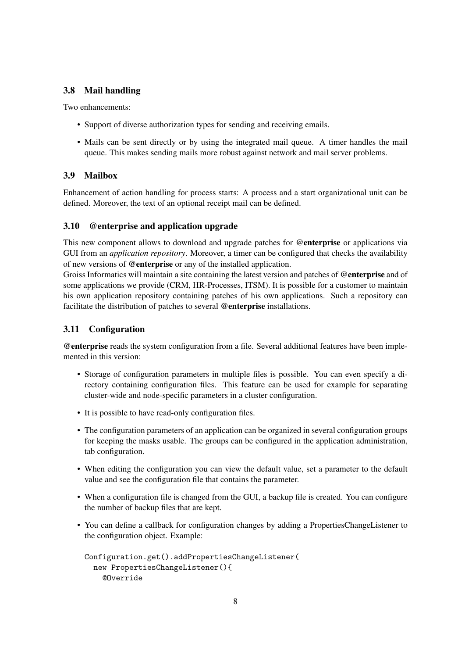### <span id="page-7-0"></span>3.8 Mail handling

Two enhancements:

- Support of diverse authorization types for sending and receiving emails.
- Mails can be sent directly or by using the integrated mail queue. A timer handles the mail queue. This makes sending mails more robust against network and mail server problems.

## <span id="page-7-1"></span>3.9 Mailbox

Enhancement of action handling for process starts: A process and a start organizational unit can be defined. Moreover, the text of an optional receipt mail can be defined.

#### <span id="page-7-2"></span>3.10 @enterprise and application upgrade

This new component allows to download and upgrade patches for @enterprise or applications via GUI from an *application repository*. Moreover, a timer can be configured that checks the availability of new versions of @enterprise or any of the installed application.

Groiss Informatics will maintain a site containing the latest version and patches of @enterprise and of some applications we provide (CRM, HR-Processes, ITSM). It is possible for a customer to maintain his own application repository containing patches of his own applications. Such a repository can facilitate the distribution of patches to several @enterprise installations.

### <span id="page-7-3"></span>3.11 Configuration

@enterprise reads the system configuration from a file. Several additional features have been implemented in this version:

- Storage of configuration parameters in multiple files is possible. You can even specify a directory containing configuration files. This feature can be used for example for separating cluster-wide and node-specific parameters in a cluster configuration.
- It is possible to have read-only configuration files.
- The configuration parameters of an application can be organized in several configuration groups for keeping the masks usable. The groups can be configured in the application administration, tab configuration.
- When editing the configuration you can view the default value, set a parameter to the default value and see the configuration file that contains the parameter.
- When a configuration file is changed from the GUI, a backup file is created. You can configure the number of backup files that are kept.
- You can define a callback for configuration changes by adding a PropertiesChangeListener to the configuration object. Example:

```
Configuration.get().addPropertiesChangeListener(
  new PropertiesChangeListener(){
    @Override
```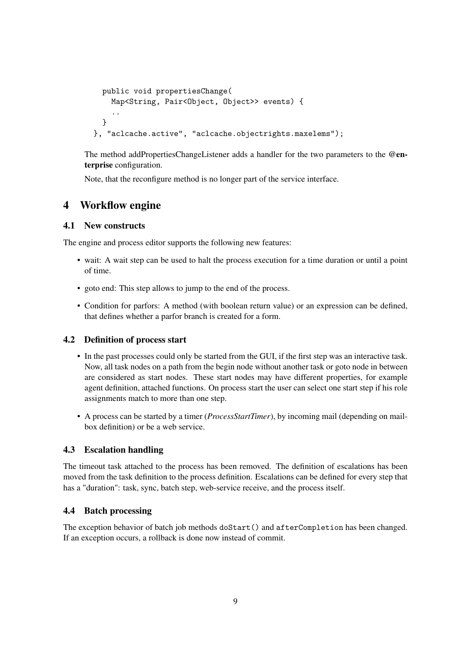```
public void propertiesChange(
   Map<String, Pair<Object, Object>> events) {
    ..
  }
}, "aclcache.active", "aclcache.objectrights.maxelems");
```
The method addPropertiesChangeListener adds a handler for the two parameters to the @enterprise configuration.

Note, that the reconfigure method is no longer part of the service interface.

## <span id="page-8-0"></span>4 Workflow engine

#### <span id="page-8-1"></span>4.1 New constructs

The engine and process editor supports the following new features:

- wait: A wait step can be used to halt the process execution for a time duration or until a point of time.
- goto end: This step allows to jump to the end of the process.
- Condition for parfors: A method (with boolean return value) or an expression can be defined, that defines whether a parfor branch is created for a form.

#### <span id="page-8-2"></span>4.2 Definition of process start

- In the past processes could only be started from the GUI, if the first step was an interactive task. Now, all task nodes on a path from the begin node without another task or goto node in between are considered as start nodes. These start nodes may have different properties, for example agent definition, attached functions. On process start the user can select one start step if his role assignments match to more than one step.
- A process can be started by a timer (*ProcessStartTimer*), by incoming mail (depending on mailbox definition) or be a web service.

## <span id="page-8-3"></span>4.3 Escalation handling

The timeout task attached to the process has been removed. The definition of escalations has been moved from the task definition to the process definition. Escalations can be defined for every step that has a "duration": task, sync, batch step, web-service receive, and the process itself.

#### <span id="page-8-4"></span>4.4 Batch processing

The exception behavior of batch job methods doStart() and afterCompletion has been changed. If an exception occurs, a rollback is done now instead of commit.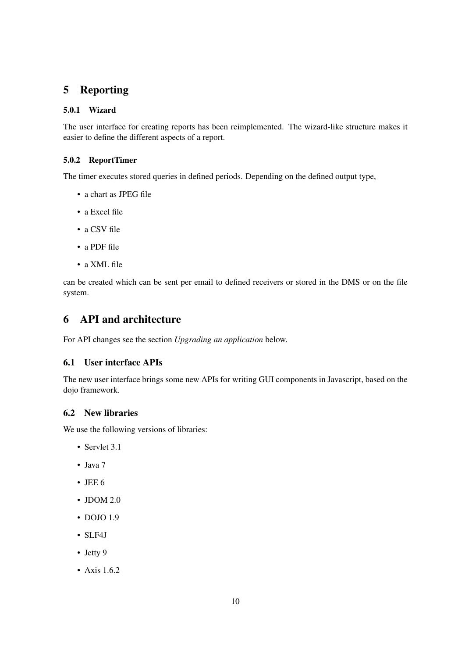# <span id="page-9-0"></span>5 Reporting

#### <span id="page-9-1"></span>5.0.1 Wizard

The user interface for creating reports has been reimplemented. The wizard-like structure makes it easier to define the different aspects of a report.

#### <span id="page-9-2"></span>5.0.2 ReportTimer

The timer executes stored queries in defined periods. Depending on the defined output type,

- a chart as JPEG file
- a Excel file
- a CSV file
- a PDF file
- a XML file

can be created which can be sent per email to defined receivers or stored in the DMS or on the file system.

## <span id="page-9-3"></span>6 API and architecture

For API changes see the section *Upgrading an application* below.

#### <span id="page-9-4"></span>6.1 User interface APIs

The new user interface brings some new APIs for writing GUI components in Javascript, based on the dojo framework.

#### <span id="page-9-5"></span>6.2 New libraries

We use the following versions of libraries:

- Servlet 3.1
- Java 7
- $\cdot$  JEE 6
- JDOM 2.0
- DOJO 1.9
- SLF4J
- Jetty 9
- Axis 1.6.2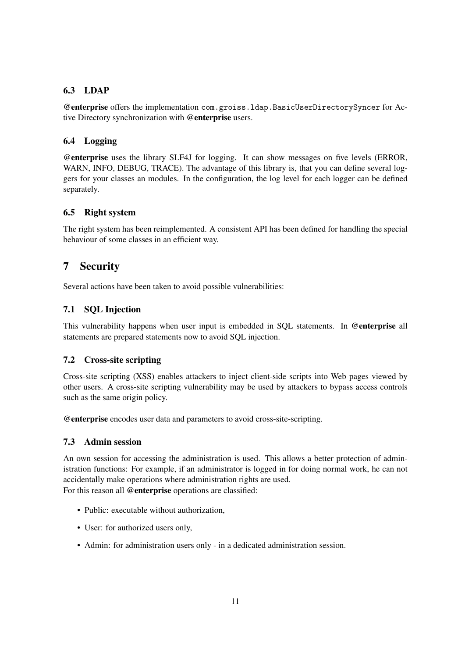## <span id="page-10-0"></span>6.3 LDAP

@enterprise offers the implementation com.groiss.ldap.BasicUserDirectorySyncer for Active Directory synchronization with @enterprise users.

## <span id="page-10-1"></span>6.4 Logging

@enterprise uses the library SLF4J for logging. It can show messages on five levels (ERROR, WARN, INFO, DEBUG, TRACE). The advantage of this library is, that you can define several loggers for your classes an modules. In the configuration, the log level for each logger can be defined separately.

## <span id="page-10-2"></span>6.5 Right system

The right system has been reimplemented. A consistent API has been defined for handling the special behaviour of some classes in an efficient way.

# <span id="page-10-3"></span>7 Security

Several actions have been taken to avoid possible vulnerabilities:

## <span id="page-10-4"></span>7.1 SQL Injection

This vulnerability happens when user input is embedded in SQL statements. In @enterprise all statements are prepared statements now to avoid SQL injection.

## <span id="page-10-5"></span>7.2 Cross-site scripting

Cross-site scripting (XSS) enables attackers to inject client-side scripts into Web pages viewed by other users. A cross-site scripting vulnerability may be used by attackers to bypass access controls such as the same origin policy.

@enterprise encodes user data and parameters to avoid cross-site-scripting.

## <span id="page-10-6"></span>7.3 Admin session

An own session for accessing the administration is used. This allows a better protection of administration functions: For example, if an administrator is logged in for doing normal work, he can not accidentally make operations where administration rights are used.

For this reason all @enterprise operations are classified:

- Public: executable without authorization,
- User: for authorized users only,
- Admin: for administration users only in a dedicated administration session.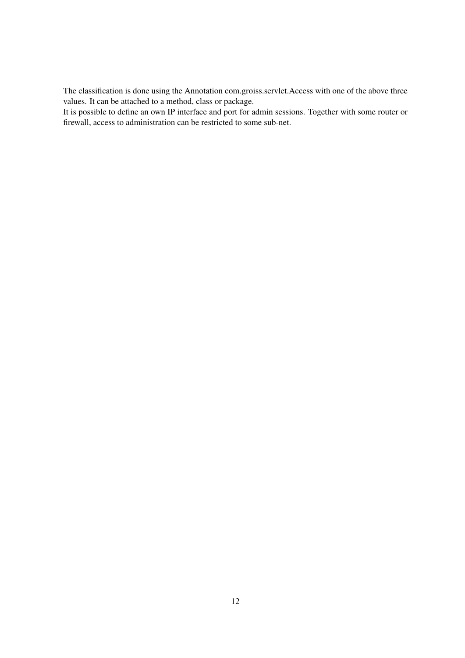The classification is done using the Annotation com.groiss.servlet.Access with one of the above three values. It can be attached to a method, class or package.

It is possible to define an own IP interface and port for admin sessions. Together with some router or firewall, access to administration can be restricted to some sub-net.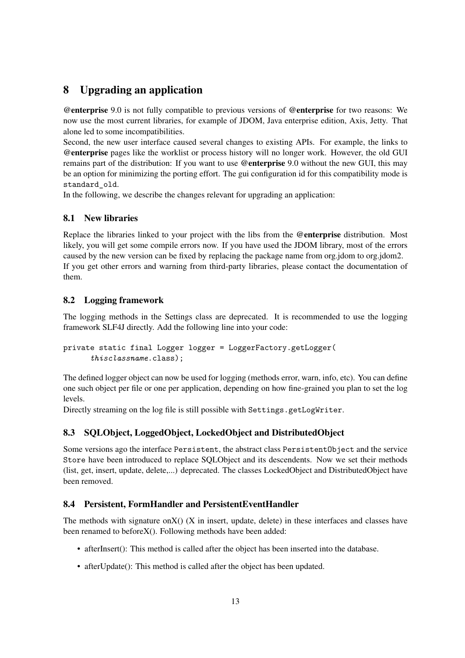# <span id="page-12-0"></span>8 Upgrading an application

@enterprise 9.0 is not fully compatible to previous versions of @enterprise for two reasons: We now use the most current libraries, for example of JDOM, Java enterprise edition, Axis, Jetty. That alone led to some incompatibilities.

Second, the new user interface caused several changes to existing APIs. For example, the links to @enterprise pages like the worklist or process history will no longer work. However, the old GUI remains part of the distribution: If you want to use @enterprise 9.0 without the new GUI, this may be an option for minimizing the porting effort. The gui configuration id for this compatibility mode is standard old.

In the following, we describe the changes relevant for upgrading an application:

## <span id="page-12-1"></span>8.1 New libraries

Replace the libraries linked to your project with the libs from the @enterprise distribution. Most likely, you will get some compile errors now. If you have used the JDOM library, most of the errors caused by the new version can be fixed by replacing the package name from org.jdom to org.jdom2. If you get other errors and warning from third-party libraries, please contact the documentation of them.

## <span id="page-12-2"></span>8.2 Logging framework

The logging methods in the Settings class are deprecated. It is recommended to use the logging framework SLF4J directly. Add the following line into your code:

```
private static final Logger logger = LoggerFactory.getLogger(
      thisclassname.class);
```
The defined logger object can now be used for logging (methods error, warn, info, etc). You can define one such object per file or one per application, depending on how fine-grained you plan to set the log levels.

Directly streaming on the log file is still possible with Settings.getLogWriter.

## <span id="page-12-3"></span>8.3 SQLObject, LoggedObject, LockedObject and DistributedObject

Some versions ago the interface Persistent, the abstract class PersistentObject and the service Store have been introduced to replace SQLObject and its descendents. Now we set their methods (list, get, insert, update, delete,...) deprecated. The classes LockedObject and DistributedObject have been removed.

#### <span id="page-12-4"></span>8.4 Persistent, FormHandler and PersistentEventHandler

The methods with signature on $X()$  (X in insert, update, delete) in these interfaces and classes have been renamed to beforeX(). Following methods have been added:

- afterInsert(): This method is called after the object has been inserted into the database.
- afterUpdate(): This method is called after the object has been updated.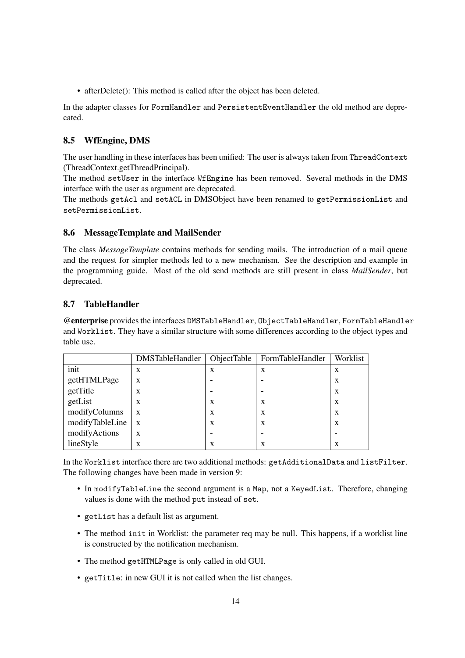• afterDelete(): This method is called after the object has been deleted.

In the adapter classes for FormHandler and PersistentEventHandler the old method are deprecated.

## <span id="page-13-0"></span>8.5 WfEngine, DMS

The user handling in these interfaces has been unified: The user is always taken from ThreadContext (ThreadContext.getThreadPrincipal).

The method setUser in the interface WfEngine has been removed. Several methods in the DMS interface with the user as argument are deprecated.

The methods getAcl and setACL in DMSObject have been renamed to getPermissionList and setPermissionList.

## <span id="page-13-1"></span>8.6 MessageTemplate and MailSender

The class *MessageTemplate* contains methods for sending mails. The introduction of a mail queue and the request for simpler methods led to a new mechanism. See the description and example in the programming guide. Most of the old send methods are still present in class *MailSender*, but deprecated.

## <span id="page-13-2"></span>8.7 TableHandler

@enterprise provides the interfaces DMSTableHandler, ObjectTableHandler, FormTableHandler and Worklist. They have a similar structure with some differences according to the object types and table use.

|                 | <b>DMSTableHandler</b> | ObjectTable | FormTableHandler | Worklist |
|-----------------|------------------------|-------------|------------------|----------|
| init            | X                      | X           | X                | X        |
| getHTMLPage     | X                      |             |                  | X        |
| getTitle        | X                      |             |                  | X        |
| getList         | X                      | X           | X                | X        |
| modifyColumns   | X                      | X           | X                | X        |
| modifyTableLine | $\mathbf{x}$           | X           | X                | X        |
| modifyActions   | X                      |             |                  |          |
| lineStyle       | X                      | X           | X                | X        |

In the Worklist interface there are two additional methods: getAdditionalData and listFilter. The following changes have been made in version 9:

- In modifyTableLine the second argument is a Map, not a KeyedList. Therefore, changing values is done with the method put instead of set.
- getList has a default list as argument.
- The method init in Worklist: the parameter req may be null. This happens, if a worklist line is constructed by the notification mechanism.
- The method getHTMLPage is only called in old GUI.
- getTitle: in new GUI it is not called when the list changes.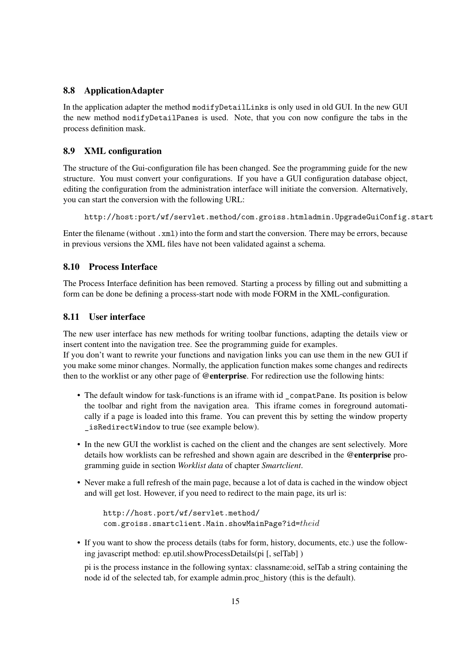#### <span id="page-14-0"></span>8.8 ApplicationAdapter

In the application adapter the method modifyDetailLinks is only used in old GUI. In the new GUI the new method modifyDetailPanes is used. Note, that you con now configure the tabs in the process definition mask.

#### <span id="page-14-1"></span>8.9 XML configuration

The structure of the Gui-configuration file has been changed. See the programming guide for the new structure. You must convert your configurations. If you have a GUI configuration database object, editing the configuration from the administration interface will initiate the conversion. Alternatively, you can start the conversion with the following URL:

http://host:port/wf/servlet.method/com.groiss.htmladmin.UpgradeGuiConfig.start

Enter the filename (without .xml) into the form and start the conversion. There may be errors, because in previous versions the XML files have not been validated against a schema.

#### <span id="page-14-2"></span>8.10 Process Interface

The Process Interface definition has been removed. Starting a process by filling out and submitting a form can be done be defining a process-start node with mode FORM in the XML-configuration.

#### <span id="page-14-3"></span>8.11 User interface

The new user interface has new methods for writing toolbar functions, adapting the details view or insert content into the navigation tree. See the programming guide for examples.

If you don't want to rewrite your functions and navigation links you can use them in the new GUI if you make some minor changes. Normally, the application function makes some changes and redirects then to the worklist or any other page of @enterprise. For redirection use the following hints:

- The default window for task-functions is an iframe with id \_compatPane. Its position is below the toolbar and right from the navigation area. This iframe comes in foreground automatically if a page is loaded into this frame. You can prevent this by setting the window property isRedirectWindow to true (see example below).
- In the new GUI the worklist is cached on the client and the changes are sent selectively. More details how worklists can be refreshed and shown again are described in the @enterprise programming guide in section *Worklist data* of chapter *Smartclient*.
- Never make a full refresh of the main page, because a lot of data is cached in the window object and will get lost. However, if you need to redirect to the main page, its url is:

```
http://host.port/wf/servlet.method/
com.groiss.smartclient.Main.showMainPage?id=theid
```
• If you want to show the process details (tabs for form, history, documents, etc.) use the following javascript method: ep.util.showProcessDetails(pi [, selTab] )

pi is the process instance in the following syntax: classname:oid, selTab a string containing the node id of the selected tab, for example admin.proc\_history (this is the default).